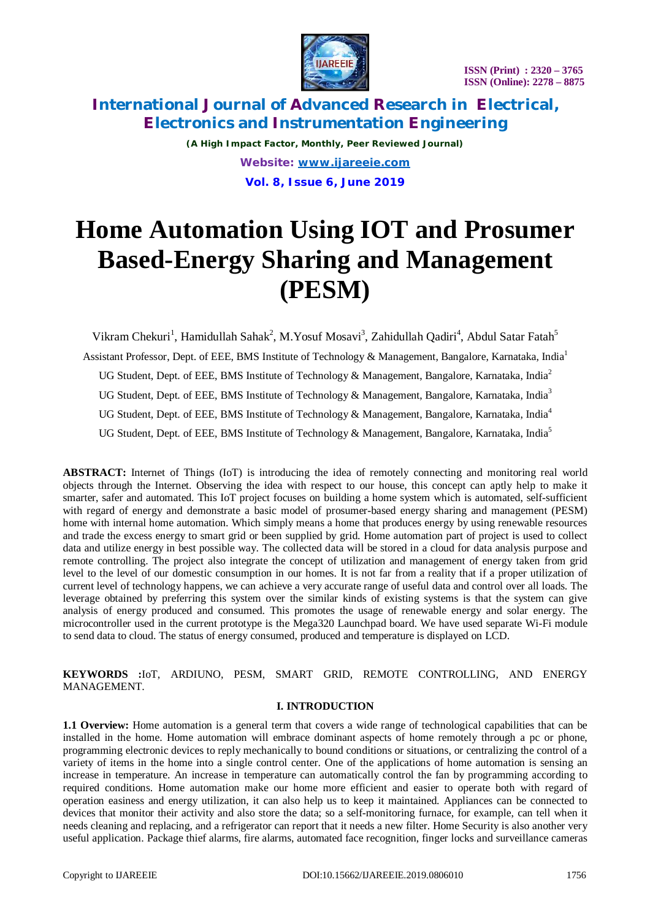

*(A High Impact Factor, Monthly, Peer Reviewed Journal) Website: [www.ijareeie.com](http://www.ijareeie.com)* **Vol. 8, Issue 6, June 2019**

# **Home Automation Using IOT and Prosumer Based-Energy Sharing and Management (PESM)**

Vikram Chekuri<sup>1</sup>, Hamidullah Sahak<sup>2</sup>, M.Yosuf Mosavi<sup>3</sup>, Zahidullah Qadiri<sup>4</sup>, Abdul Satar Fatah<sup>5</sup> Assistant Professor, Dept. of EEE, BMS Institute of Technology & Management, Bangalore, Karnataka, India<sup>1</sup> UG Student, Dept. of EEE, BMS Institute of Technology & Management, Bangalore, Karnataka, India<sup>2</sup> UG Student, Dept. of EEE, BMS Institute of Technology & Management, Bangalore, Karnataka, India<sup>3</sup> UG Student, Dept. of EEE, BMS Institute of Technology & Management, Bangalore, Karnataka, India<sup>4</sup> UG Student, Dept. of EEE, BMS Institute of Technology & Management, Bangalore, Karnataka, India<sup>5</sup>

**ABSTRACT:** Internet of Things (IoT) is introducing the idea of remotely connecting and monitoring real world objects through the Internet. Observing the idea with respect to our house, this concept can aptly help to make it smarter, safer and automated. This IoT project focuses on building a home system which is automated, self-sufficient with regard of energy and demonstrate a basic model of prosumer-based energy sharing and management (PESM) home with internal home automation. Which simply means a home that produces energy by using renewable resources and trade the excess energy to smart grid or been supplied by grid. Home automation part of project is used to collect data and utilize energy in best possible way. The collected data will be stored in a cloud for data analysis purpose and remote controlling. The project also integrate the concept of utilization and management of energy taken from grid level to the level of our domestic consumption in our homes. It is not far from a reality that if a proper utilization of current level of technology happens, we can achieve a very accurate range of useful data and control over all loads. The leverage obtained by preferring this system over the similar kinds of existing systems is that the system can give analysis of energy produced and consumed. This promotes the usage of renewable energy and solar energy. The microcontroller used in the current prototype is the Mega320 Launchpad board. We have used separate Wi-Fi module to send data to cloud. The status of energy consumed, produced and temperature is displayed on LCD.

**KEYWORDS :**IoT, ARDIUNO, PESM, SMART GRID, REMOTE CONTROLLING, AND ENERGY MANAGEMENT.

### **I. INTRODUCTION**

**1.1 Overview:** Home automation is a general term that covers a wide range of technological capabilities that can be installed in the home. Home automation will embrace dominant aspects of home remotely through a pc or phone, programming electronic devices to reply mechanically to bound conditions or situations, or centralizing the control of a variety of items in the home into a single control center. One of the applications of home automation is sensing an increase in temperature. An increase in temperature can automatically control the fan by programming according to required conditions. Home automation make our home more efficient and easier to operate both with regard of operation easiness and energy utilization, it can also help us to keep it maintained. Appliances can be connected to devices that monitor their activity and also store the data; so a self-monitoring furnace, for example, can tell when it needs cleaning and replacing, and a refrigerator can report that it needs a new filter. Home Security is also another very useful application. Package thief alarms, fire alarms, automated face recognition, finger locks and surveillance cameras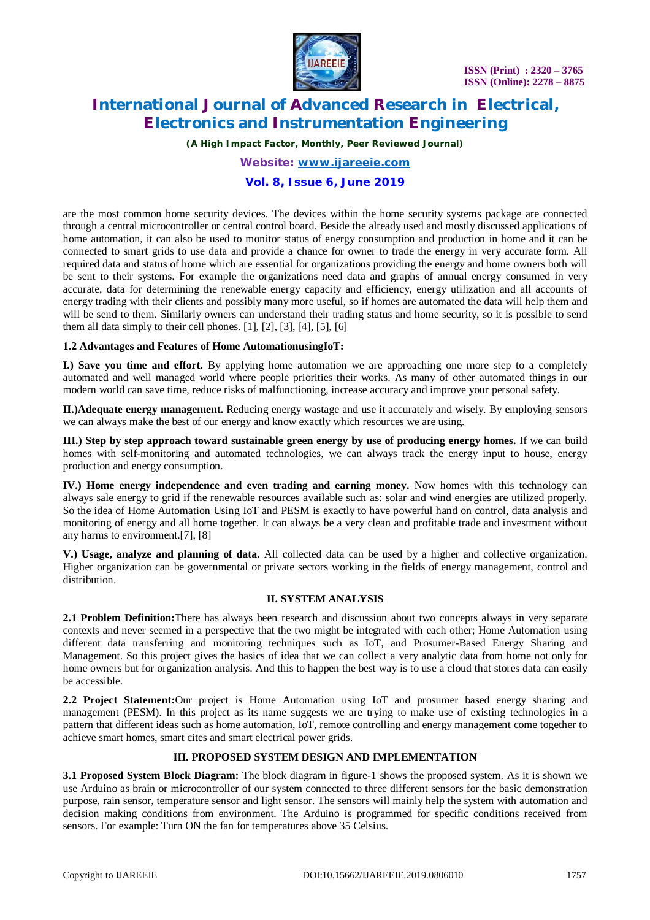

*(A High Impact Factor, Monthly, Peer Reviewed Journal)*

*Website: [www.ijareeie.com](http://www.ijareeie.com)*

### **Vol. 8, Issue 6, June 2019**

are the most common home security devices. The devices within the home security systems package are connected through a central microcontroller or central control board. Beside the already used and mostly discussed applications of home automation, it can also be used to monitor status of energy consumption and production in home and it can be connected to smart grids to use data and provide a chance for owner to trade the energy in very accurate form. All required data and status of home which are essential for organizations providing the energy and home owners both will be sent to their systems. For example the organizations need data and graphs of annual energy consumed in very accurate, data for determining the renewable energy capacity and efficiency, energy utilization and all accounts of energy trading with their clients and possibly many more useful, so if homes are automated the data will help them and will be send to them. Similarly owners can understand their trading status and home security, so it is possible to send them all data simply to their cell phones.  $[1]$ ,  $[2]$ ,  $[3]$ ,  $[4]$ ,  $[5]$ ,  $[6]$ 

### **1.2 Advantages and Features of Home AutomationusingIoT:**

**I.) Save you time and effort.** By applying home automation we are approaching one more step to a completely automated and well managed world where people priorities their works. As many of other automated things in our modern world can save time, reduce risks of malfunctioning, increase accuracy and improve your personal safety.

**II.)Adequate energy management.** Reducing energy wastage and use it accurately and wisely. By employing sensors we can always make the best of our energy and know exactly which resources we are using.

**III.) Step by step approach toward sustainable green energy by use of producing energy homes.** If we can build homes with self-monitoring and automated technologies, we can always track the energy input to house, energy production and energy consumption.

**IV.) Home energy independence and even trading and earning money.** Now homes with this technology can always sale energy to grid if the renewable resources available such as: solar and wind energies are utilized properly. So the idea of Home Automation Using IoT and PESM is exactly to have powerful hand on control, data analysis and monitoring of energy and all home together. It can always be a very clean and profitable trade and investment without any harms to environment.[7], [8]

**V.) Usage, analyze and planning of data.** All collected data can be used by a higher and collective organization. Higher organization can be governmental or private sectors working in the fields of energy management, control and distribution.

### **II. SYSTEM ANALYSIS**

**2.1 Problem Definition:**There has always been research and discussion about two concepts always in very separate contexts and never seemed in a perspective that the two might be integrated with each other; Home Automation using different data transferring and monitoring techniques such as IoT, and Prosumer-Based Energy Sharing and Management. So this project gives the basics of idea that we can collect a very analytic data from home not only for home owners but for organization analysis. And this to happen the best way is to use a cloud that stores data can easily be accessible.

**2.2 Project Statement:**Our project is Home Automation using IoT and prosumer based energy sharing and management (PESM). In this project as its name suggests we are trying to make use of existing technologies in a pattern that different ideas such as home automation, IoT, remote controlling and energy management come together to achieve smart homes, smart cites and smart electrical power grids.

### **III. PROPOSED SYSTEM DESIGN AND IMPLEMENTATION**

**3.1 Proposed System Block Diagram:** The block diagram in figure-1 shows the proposed system. As it is shown we use Arduino as brain or microcontroller of our system connected to three different sensors for the basic demonstration purpose, rain sensor, temperature sensor and light sensor. The sensors will mainly help the system with automation and decision making conditions from environment. The Arduino is programmed for specific conditions received from sensors. For example: Turn ON the fan for temperatures above 35 Celsius.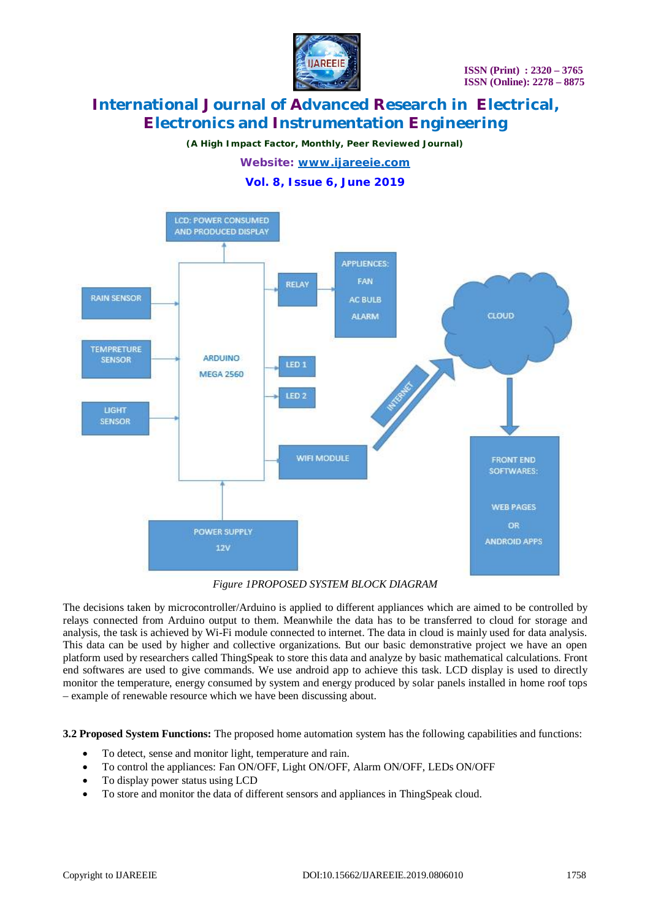

*(A High Impact Factor, Monthly, Peer Reviewed Journal)*

*Website: [www.ijareeie.com](http://www.ijareeie.com)*

**Vol. 8, Issue 6, June 2019**



*Figure 1PROPOSED SYSTEM BLOCK DIAGRAM*

The decisions taken by microcontroller/Arduino is applied to different appliances which are aimed to be controlled by relays connected from Arduino output to them. Meanwhile the data has to be transferred to cloud for storage and analysis, the task is achieved by Wi-Fi module connected to internet. The data in cloud is mainly used for data analysis. This data can be used by higher and collective organizations. But our basic demonstrative project we have an open platform used by researchers called ThingSpeak to store this data and analyze by basic mathematical calculations. Front end softwares are used to give commands. We use android app to achieve this task. LCD display is used to directly monitor the temperature, energy consumed by system and energy produced by solar panels installed in home roof tops – example of renewable resource which we have been discussing about.

**3.2 Proposed System Functions:** The proposed home automation system has the following capabilities and functions:

- To detect, sense and monitor light, temperature and rain.
- To control the appliances: Fan ON/OFF, Light ON/OFF, Alarm ON/OFF, LEDs ON/OFF
- To display power status using LCD
- To store and monitor the data of different sensors and appliances in ThingSpeak cloud.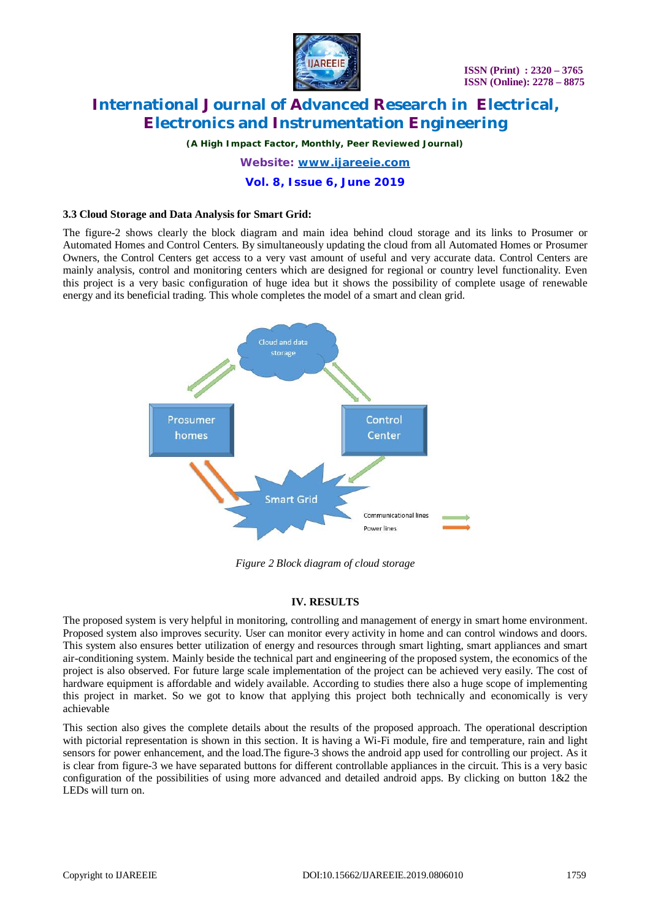

*(A High Impact Factor, Monthly, Peer Reviewed Journal)*

*Website: [www.ijareeie.com](http://www.ijareeie.com)*

**Vol. 8, Issue 6, June 2019**

### **3.3 Cloud Storage and Data Analysis for Smart Grid:**

The figure-2 shows clearly the block diagram and main idea behind cloud storage and its links to Prosumer or Automated Homes and Control Centers. By simultaneously updating the cloud from all Automated Homes or Prosumer Owners, the Control Centers get access to a very vast amount of useful and very accurate data. Control Centers are mainly analysis, control and monitoring centers which are designed for regional or country level functionality. Even this project is a very basic configuration of huge idea but it shows the possibility of complete usage of renewable energy and its beneficial trading. This whole completes the model of a smart and clean grid.



*Figure 2 Block diagram of cloud storage*

### **IV. RESULTS**

The proposed system is very helpful in monitoring, controlling and management of energy in smart home environment. Proposed system also improves security. User can monitor every activity in home and can control windows and doors. This system also ensures better utilization of energy and resources through smart lighting, smart appliances and smart air-conditioning system. Mainly beside the technical part and engineering of the proposed system, the economics of the project is also observed. For future large scale implementation of the project can be achieved very easily. The cost of hardware equipment is affordable and widely available. According to studies there also a huge scope of implementing this project in market. So we got to know that applying this project both technically and economically is very achievable

This section also gives the complete details about the results of the proposed approach. The operational description with pictorial representation is shown in this section. It is having a Wi-Fi module, fire and temperature, rain and light sensors for power enhancement, and the load.The figure-3 shows the android app used for controlling our project. As it is clear from figure-3 we have separated buttons for different controllable appliances in the circuit. This is a very basic configuration of the possibilities of using more advanced and detailed android apps. By clicking on button 1&2 the LEDs will turn on.